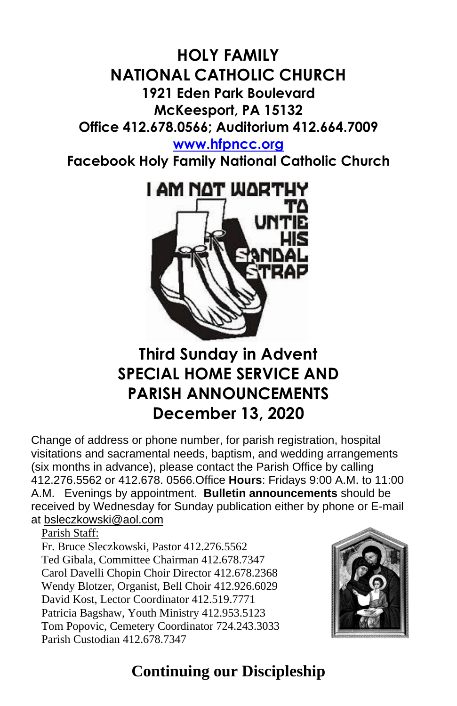## **HOLY FAMILY NATIONAL CATHOLIC CHURCH 1921 Eden Park Boulevard McKeesport, PA 15132 Office 412.678.0566; Auditorium 412.664.7009 [www.hfpncc.org](http://www.hfpncc.org/)**

**Facebook Holy Family National Catholic Church**



# **Third Sunday in Advent SPECIAL HOME SERVICE AND PARISH ANNOUNCEMENTS December 13, 2020**

Change of address or phone number, for parish registration, hospital visitations and sacramental needs, baptism, and wedding arrangements (six months in advance), please contact the Parish Office by calling 412.276.5562 or 412.678. 0566.Office **Hours**: Fridays 9:00 A.M. to 11:00 A.M. Evenings by appointment. **Bulletin announcements** should be received by Wednesday for Sunday publication either by phone or E-mail at [bsleczkowski@aol.com](mailto:bsleczkowski@aol.com)

Parish Staff:

Fr. Bruce Sleczkowski, Pastor 412.276.5562 Ted Gibala, Committee Chairman 412.678.7347 Carol Davelli Chopin Choir Director 412.678.2368 Wendy Blotzer, Organist, Bell Choir 412.926.6029 David Kost, Lector Coordinator 412.519.7771 Patricia Bagshaw, Youth Ministry 412.953.5123 Tom Popovic, Cemetery Coordinator 724.243.3033 Parish Custodian 412.678.7347



# **Continuing our Discipleship**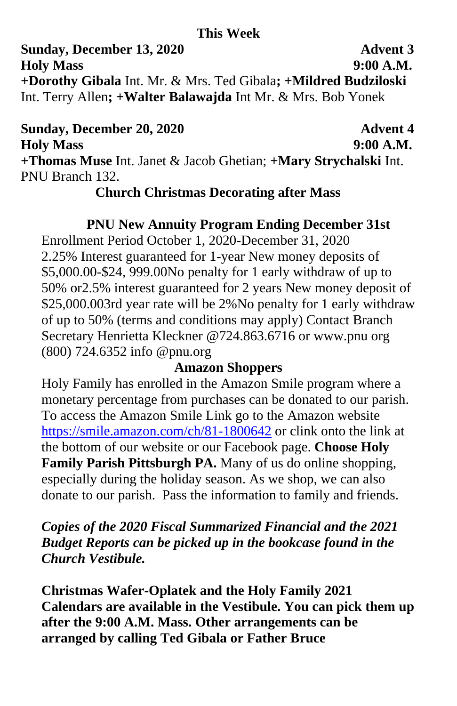#### **This Week**

**Sunday, December 13, 2020 Advent 3 Holy Mass 9:00 A.M. +Dorothy Gibala** Int. Mr. & Mrs. Ted Gibala**; +Mildred Budziloski**  Int. Terry Allen**; +Walter Balawajda** Int Mr. & Mrs. Bob Yonek

**Sunday, December 20, 2020 Advent 4 Holy Mass 9:00 A.M. +Thomas Muse** Int. Janet & Jacob Ghetian; **+Mary Strychalski** Int. PNU Branch 132.

#### **Church Christmas Decorating after Mass**

### **PNU New Annuity Program Ending December 31st**

Enrollment Period October 1, 2020-December 31, 2020 2.25% Interest guaranteed for 1-year New money deposits of \$5,000.00-\$24, 999.00No penalty for 1 early withdraw of up to 50% or2.5% interest guaranteed for 2 years New money deposit of \$25,000.003rd year rate will be 2%No penalty for 1 early withdraw of up to 50% (terms and conditions may apply) Contact Branch Secretary Henrietta Kleckner @724.863.6716 or www.pnu org (800) 724.6352 info @pnu.org

### **Amazon Shoppers**

Holy Family has enrolled in the Amazon Smile program where a monetary percentage from purchases can be donated to our parish. To access the Amazon Smile Link go to the Amazon website <https://smile.amazon.com/ch/81-1800642> or clink onto the link at the bottom of our website or our Facebook page. **Choose Holy Family Parish Pittsburgh PA.** Many of us do online shopping, especially during the holiday season. As we shop, we can also donate to our parish. Pass the information to family and friends.

*Copies of the 2020 Fiscal Summarized Financial and the 2021 Budget Reports can be picked up in the bookcase found in the Church Vestibule.*

**Christmas Wafer-Oplatek and the Holy Family 2021 Calendars are available in the Vestibule. You can pick them up after the 9:00 A.M. Mass. Other arrangements can be arranged by calling Ted Gibala or Father Bruce**